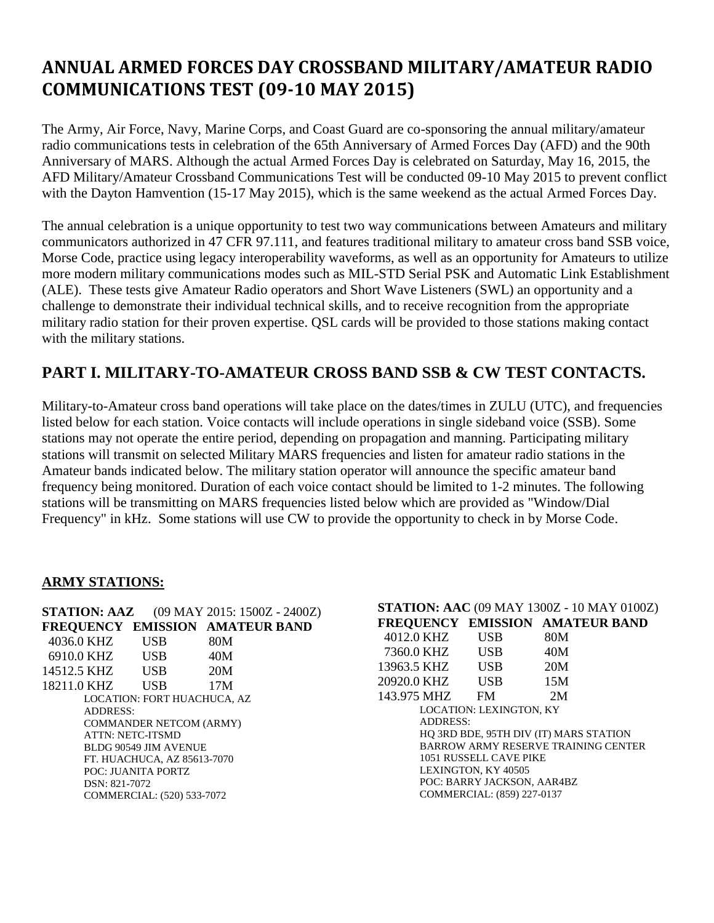# **ANNUAL ARMED FORCES DAY CROSSBAND MILITARY/AMATEUR RADIO COMMUNICATIONS TEST (09-10 MAY 2015)**

The Army, Air Force, Navy, Marine Corps, and Coast Guard are co-sponsoring the annual military/amateur radio communications tests in celebration of the 65th Anniversary of Armed Forces Day (AFD) and the 90th Anniversary of MARS. Although the actual Armed Forces Day is celebrated on Saturday, May 16, 2015, the AFD Military/Amateur Crossband Communications Test will be conducted 09-10 May 2015 to prevent conflict with the Dayton Hamvention (15-17 May 2015), which is the same weekend as the actual Armed Forces Day.

The annual celebration is a unique opportunity to test two way communications between Amateurs and military communicators authorized in 47 CFR 97.111, and features traditional military to amateur cross band SSB voice, Morse Code, practice using legacy interoperability waveforms, as well as an opportunity for Amateurs to utilize more modern military communications modes such as MIL-STD Serial PSK and Automatic Link Establishment (ALE). These tests give Amateur Radio operators and Short Wave Listeners (SWL) an opportunity and a challenge to demonstrate their individual technical skills, and to receive recognition from the appropriate military radio station for their proven expertise. QSL cards will be provided to those stations making contact with the military stations.

# **PART I. MILITARY-TO-AMATEUR CROSS BAND SSB & CW TEST CONTACTS.**

Military-to-Amateur cross band operations will take place on the dates/times in ZULU (UTC), and frequencies listed below for each station. Voice contacts will include operations in single sideband voice (SSB). Some stations may not operate the entire period, depending on propagation and manning. Participating military stations will transmit on selected Military MARS frequencies and listen for amateur radio stations in the Amateur bands indicated below. The military station operator will announce the specific amateur band frequency being monitored. Duration of each voice contact should be limited to 1-2 minutes. The following stations will be transmitting on MARS frequencies listed below which are provided as "Window/Dial Frequency" in kHz. Some stations will use CW to provide the opportunity to check in by Morse Code.

# **ARMY STATIONS:**

| <b>STATION: AAZ</b><br>$(09$ MAY 2015: 1500Z - 2400Z) | <b>STATION: AAC (09 MAY 1300Z - 10 MAY 0100Z)</b> |
|-------------------------------------------------------|---------------------------------------------------|
| <b>EMISSION AMATEUR BAND</b><br><b>FREQUENCY</b>      | FREQUENCY EMISSION AMATEUR BAND                   |
| 4036.0 KHZ<br><b>USB</b><br>80M                       | <b>USB</b><br>4012.0 KHZ<br>80M                   |
| 40M<br>6910.0 KHZ<br><b>USB</b>                       | <b>USB</b><br>40M<br>7360.0 KHZ                   |
| 20M<br><b>USB</b><br>14512.5 KHZ                      | <b>USB</b><br>20M<br>13963.5 KHZ                  |
| 18211.0 KHZ<br><b>USB</b><br>17M                      | <b>USB</b><br>15M<br>20920.0 KHZ                  |
| LOCATION: FORT HUACHUCA, AZ                           | 143.975 MHZ<br>2M<br><b>FM</b>                    |
| <b>ADDRESS:</b>                                       | <b>LOCATION: LEXINGTON, KY</b>                    |
| <b>COMMANDER NETCOM (ARMY)</b>                        | ADDRESS:                                          |
| <b>ATTN: NETC-ITSMD</b>                               | HO 3RD BDE, 95TH DIV (IT) MARS STATION            |
| BLDG 90549 JIM AVENUE                                 | <b>BARROW ARMY RESERVE TRAINING CENTER</b>        |
| FT. HUACHUCA, AZ 85613-7070                           | 1051 RUSSELL CAVE PIKE                            |
| <b>POC: JUANITA PORTZ</b>                             | <b>LEXINGTON, KY 40505</b>                        |
| DSN: 821-7072                                         | POC: BARRY JACKSON, AAR4BZ                        |
| COMMERCIAL: (520) 533-7072                            | COMMERCIAL: (859) 227-0137                        |
|                                                       |                                                   |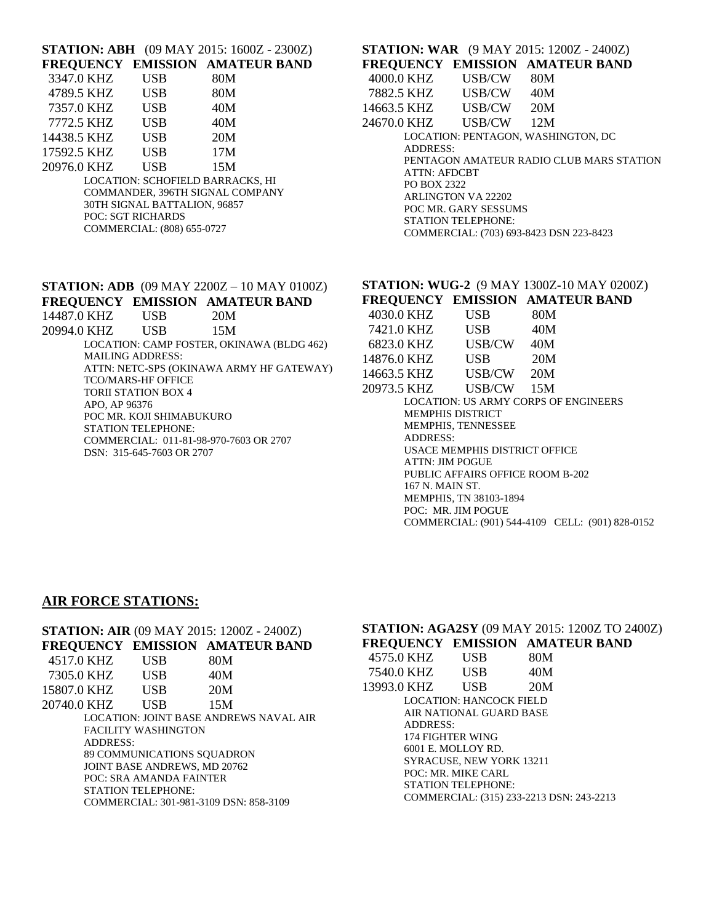|             |            | <b>STATION: ABH</b> (09 MAY 2015: 1600Z - 2300Z) |
|-------------|------------|--------------------------------------------------|
|             |            | FREQUENCY EMISSION AMATEUR BAND                  |
| 3347.0 KHZ  | <b>USB</b> | 80M                                              |
| 4789.5 KHZ  | <b>USB</b> | 80M                                              |
| 7357.0 KHZ  | <b>USB</b> | 40M                                              |
| 7772.5 KHZ  | <b>USB</b> | 40M                                              |
| 14438.5 KHZ | <b>USB</b> | 20M                                              |
| 17592.5 KHZ | <b>USB</b> | 17M                                              |
|             | T T T T    | . <i>.</i>                                       |

20976.0 KHZ USB 15M LOCATION: SCHOFIELD BARRACKS, HI COMMANDER, 396TH SIGNAL COMPANY 30TH SIGNAL BATTALION, 96857 POC: SGT RICHARDS COMMERCIAL: (808) 655-0727

#### **STATION: ADB** (09 MAY 2200Z – 10 MAY 0100Z) **FREQUENCY EMISSION AMATEUR BAND**  14487.0 KHZ USB 20M 20994.0 KHZ USB 15M

LOCATION: CAMP FOSTER, OKINAWA (BLDG 462) MAILING ADDRESS: ATTN: NETC-SPS (OKINAWA ARMY HF GATEWAY) TCO/MARS-HF OFFICE TORII STATION BOX 4 APO, AP 96376 POC MR. KOJI SHIMABUKURO STATION TELEPHONE: COMMERCIAL: 011-81-98-970-7603 OR 2707 DSN: 315-645-7603 OR 2707

# **STATION: WAR** (9 MAY 2015: 1200Z - 2400Z)

**FREQUENCY EMISSION AMATEUR BAND** 

|             | 4000.0 KHZ | USB/CW | 80M                                |
|-------------|------------|--------|------------------------------------|
|             | 7882.5 KHZ | USB/CW | 40M                                |
| 14663.5 KHZ |            | USB/CW | 20M                                |
| 24670.0 KHZ |            | USB/CW | 12M                                |
|             |            |        | LOCATION: PENTAGON, WASHINGTON, DC |

ADDRESS: PENTAGON AMATEUR RADIO CLUB MARS STATION ATTN: AFDCBT PO BOX 2322 ARLINGTON VA 22202 POC MR. GARY SESSUMS STATION TELEPHONE: COMMERCIAL: (703) 693-8423 DSN 223-8423

#### **STATION: WUG-2** (9 MAY 1300Z-10 MAY 0200Z) **FEUR BAND**

| FREQUENCY EMISSION AMAT |            |     |
|-------------------------|------------|-----|
| 4030.0 KHZ              | USB        | 80M |
| 7421.0 KHZ              | <b>USB</b> | 40M |
| 6823.0 KHZ              | USB/CW     | 40M |
| 14876.0 KHZ             | USB        | 20M |
| 14663.5 KHZ             | USB/CW     | 20M |
| 20973.5 KHZ             | USB/CW     | 15M |

LOCATION: US ARMY CORPS OF ENGINEERS MEMPHIS DISTRICT MEMPHIS, TENNESSEE ADDRESS: USACE MEMPHIS DISTRICT OFFICE ATTN: JIM POGUE PUBLIC AFFAIRS OFFICE ROOM B-202 167 N. MAIN ST. MEMPHIS, TN 38103-1894 POC: MR. JIM POGUE COMMERCIAL: (901) 544-4109 CELL: (901) 828-0152

### **AIR FORCE STATIONS:**

|                 |                            | STATION: AIR (09 MAY 2015: 1200Z - 2400Z) |  |
|-----------------|----------------------------|-------------------------------------------|--|
|                 |                            | FREQUENCY EMISSION AMATEUR BAND           |  |
| 4517.0 KHZ      | <b>USB</b>                 | 80M                                       |  |
| 7305.0 KHZ      | <b>USB</b>                 | 40M                                       |  |
| 15807.0 KHZ     | <b>USB</b>                 | 20M                                       |  |
| 20740.0 KHZ     | <b>USB</b>                 | 15M                                       |  |
|                 |                            | LOCATION: JOINT BASE ANDREWS NAVAL AIR    |  |
|                 | <b>FACILITY WASHINGTON</b> |                                           |  |
| <b>ADDRESS:</b> |                            |                                           |  |
|                 |                            | 89 COMMUNICATIONS SOUADRON                |  |
|                 |                            | JOINT BASE ANDREWS, MD 20762              |  |
|                 | POC: SRA AMANDA FAINTER    |                                           |  |
|                 | <b>STATION TELEPHONE:</b>  |                                           |  |
|                 |                            | COMMERCIAL: 301-981-3109 DSN: 858-3109    |  |

#### **STATION: AGA2SY** (09 MAY 2015: 1200Z TO 2400Z) **FEUR BAND**

| <b>FREQUENCY EMISSION</b> |     | AMA <sup>'</sup> |
|---------------------------|-----|------------------|
| 4575.0 KHZ                | USB | 80M              |
| 7540.0 KHZ                | USB | 40M              |
| 13993.0 KHZ               | USB | 20M              |

LOCATION: HANCOCK FIELD AIR NATIONAL GUARD BASE ADDRESS: 174 FIGHTER WING 6001 E. MOLLOY RD. SYRACUSE, NEW YORK 13211 POC: MR. MIKE CARL STATION TELEPHONE: COMMERCIAL: (315) 233-2213 DSN: 243-2213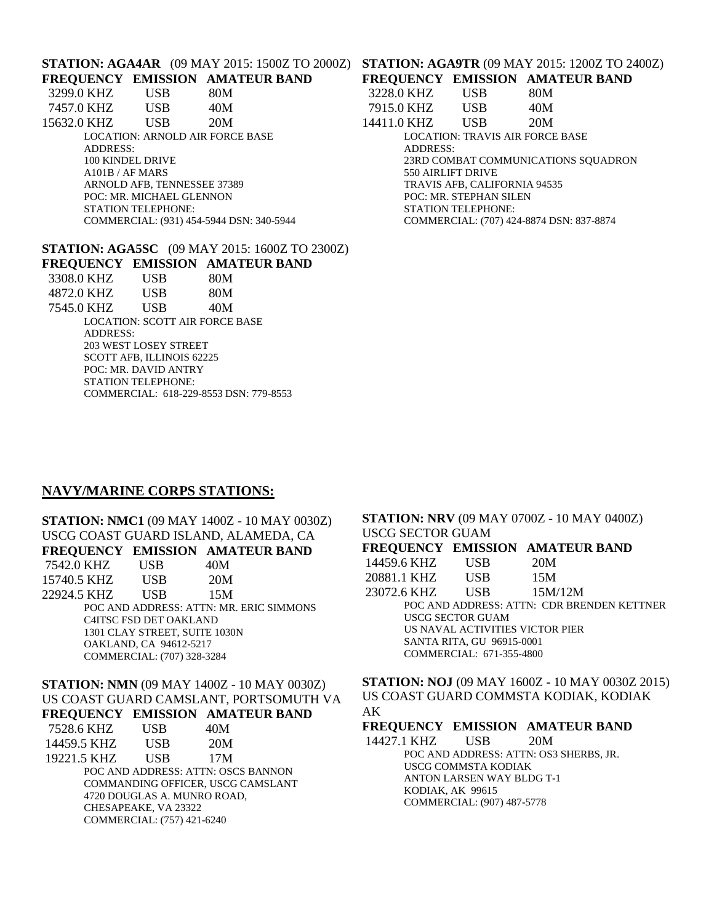|                 |                                 | FREQUENCY EMISSION AMATEUR BAND          |
|-----------------|---------------------------------|------------------------------------------|
| 3299.0 KHZ      | USB                             | 80M                                      |
| 7457.0 KHZ      | USB                             | 40M                                      |
| 15632.0 KHZ     | USB                             | 20M                                      |
|                 | LOCATION: ARNOLD AIR FORCE BASE |                                          |
| <b>ADDRESS:</b> |                                 |                                          |
|                 | 100 KINDEL DRIVE                |                                          |
| A101B / AF MARS |                                 |                                          |
|                 | ARNOLD AFB, TENNESSEE 37389     |                                          |
|                 | POC: MR. MICHAEL GLENNON        |                                          |
|                 | <b>STATION TELEPHONE:</b>       |                                          |
|                 |                                 | COMMERCIAL: (931) 454-5944 DSN: 340-5944 |
|                 |                                 |                                          |

#### **STATION: AGA5SC** (09 MAY 2015: 1600Z TO 2300Z) **FREQUENCY EMISSION AMATEUR BAND**  3308.0 KHZ USB 80M

 4872.0 KHZ USB 80M 7545.0 KHZ USB 40M LOCATION: SCOTT AIR FORCE BASE ADDRESS: 203 WEST LOSEY STREET SCOTT AFB, ILLINOIS 62225 POC: MR. DAVID ANTRY STATION TELEPHONE: COMMERCIAL: 618-229-8553 DSN: 779-8553

#### **STATION: AGA4AR** (09 MAY 2015: 1500Z TO 2000Z) **STATION: AGA9TR** (09 MAY 2015: 1200Z TO 2400Z)

|             |            | FREQUENCY EMISSION AMATEUR BAND |
|-------------|------------|---------------------------------|
| 3228.0 KHZ  | -USB       | 80M                             |
| 7915.0 KHZ  | <b>USB</b> | 40M                             |
| 14411.0 KHZ | USB.       | 20M                             |

LOCATION: TRAVIS AIR FORCE BASE ADDRESS: 23RD COMBAT COMMUNICATIONS SQUADRON 550 AIRLIFT DRIVE TRAVIS AFB, CALIFORNIA 94535 POC: MR. STEPHAN SILEN STATION TELEPHONE: COMMERCIAL: (707) 424-8874 DSN: 837-8874

# **NAVY/MARINE CORPS STATIONS:**

**STATION: NMC1** (09 MAY 1400Z - 10 MAY 0030Z) USCG COAST GUARD ISLAND, ALAMEDA, CA **FREQUENCY EMISSION AMATEUR BAND**

|             |                               | TREQUERCI EMISSION AMAIEUR DAND         |
|-------------|-------------------------------|-----------------------------------------|
| 7542.0 KHZ  | USB                           | 40M                                     |
| 15740.5 KHZ | <b>USB</b>                    | 20M                                     |
| 22924.5 KHZ | <b>USB</b>                    | 15M                                     |
|             |                               | POC AND ADDRESS: ATTN: MR. ERIC SIMMONS |
|             | <b>C4ITSC FSD DET OAKLAND</b> |                                         |
|             | 1301 CLAY STREET, SUITE 1030N |                                         |
|             | OAKLAND, CA 94612-5217        |                                         |
|             | COMMERCIAL: (707) 328-3284    |                                         |
|             |                               |                                         |

### **STATION: NMN** (09 MAY 1400Z - 10 MAY 0030Z) US COAST GUARD CAMSLANT, PORTSOMUTH VA **FREQUENCY EMISSION AMATEUR BAND** 7528.6 KHZ USB 40M

| 14459.5 KHZ | USB | 20M |
|-------------|-----|-----|
| 19221.5 KHZ | USB | 17M |
|             |     |     |

POC AND ADDRESS: ATTN: OSCS BANNON COMMANDING OFFICER, USCG CAMSLANT 4720 DOUGLAS A. MUNRO ROAD, CHESAPEAKE, VA 23322 COMMERCIAL: (757) 421-6240

**STATION: NRV** (09 MAY 0700Z - 10 MAY 0400Z) USCG SECTOR GUAM **FREQUENCY EMISSION AMATEUR BAND** 14459.6 KHZ USB 20M 20881.1 KHZ USB 15M 23072.6 KHZ USB 15M/12M POC AND ADDRESS: ATTN: CDR BRENDEN KETTNER USCG SECTOR GUAM US NAVAL ACTIVITIES VICTOR PIER SANTA RITA, GU 96915-0001 COMMERCIAL: 671-355-4800

**STATION: NOJ** (09 MAY 1600Z - 10 MAY 0030Z 2015) US COAST GUARD COMMSTA KODIAK, KODIAK AK

**FREQUENCY EMISSION AMATEUR BAND**

14427.1 KHZ USB 20M POC AND ADDRESS: ATTN: OS3 SHERBS, JR. USCG COMMSTA KODIAK ANTON LARSEN WAY BLDG T-1 KODIAK, AK 99615 COMMERCIAL: (907) 487-5778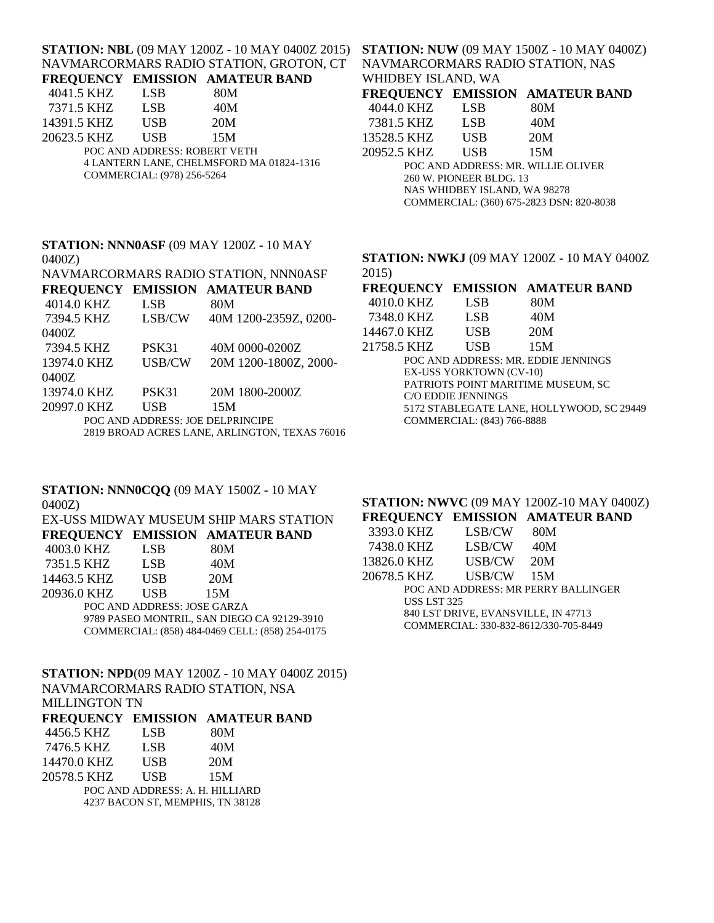# **STATION: NBL** (09 MAY 1200Z - 10 MAY 0400Z 2015) **STATION: NUW** (09 MAY 1500Z - 10 MAY 0400Z) NAVMARCORMARS RADIO STATION, GROTON, CT

|             |                              | FREQUENCY EMISSION AMATEUR BAND          |
|-------------|------------------------------|------------------------------------------|
| 4041.5 KHZ  | <b>LSB</b>                   | 80M                                      |
| 7371.5 KHZ  | LSB                          | 40M                                      |
| 14391.5 KHZ | USB                          | 20M                                      |
| 20623.5 KHZ | USB                          | 15M                                      |
|             | POC AND ADDRESS: ROBERT VETH |                                          |
|             |                              | 4 LANTERN LANE, CHELMSFORD MA 01824-1316 |
|             | COMMERCIAL: (978) 256-5264   |                                          |
|             |                              |                                          |

# NAVMARCORMARS RADIO STATION, NAS WHIDBEY ISLAND, WA

|            |      | FREQUENCY EMISSION AMATEUR BAND |
|------------|------|---------------------------------|
| 4044.0 KHZ | LSB. | -80M                            |
| 7381.5 KHZ | LSB. | 40M                             |

13528.5 KHZ USB 20M 20952.5 KHZ USB 15M POC AND ADDRESS: MR. WILLIE OLIVER 260 W. PIONEER BLDG. 13 NAS WHIDBEY ISLAND, WA 98278 COMMERCIAL: (360) 675-2823 DSN: 820-8038

### **STATION: NNN0ASF** (09 MAY 1200Z - 10 MAY 0400Z) NAVMARCORMARS RADIO STATION, NNN0ASF **FREQUENCY EMISSION AMATEUR BAND**  4014.0 KHZ LSB 80M 7394.5 KHZ LSB/CW 40M 1200-2359Z, 0200- 0400Z 7394.5 KHZ PSK31 40M 0000-0200Z 13974.0 KHZ USB/CW 20M 1200-1800Z, 2000- 0400Z 13974.0 KHZ PSK31 20M 1800-2000Z 20997.0 KHZ USB 15M POC AND ADDRESS: JOE DELPRINCIPE

2819 BROAD ACRES LANE, ARLINGTON, TEXAS 76016

# **STATION: NNN0CQQ** (09 MAY 1500Z - 10 MAY 0400Z)

#### EX-USS MIDWAY MUSEUM SHIP MARS STATION **FREQUENCY EMISSION AMATEUR BAND**

| 4003.0 KHZ  | <b>LSB</b> | 80M                                             |  |
|-------------|------------|-------------------------------------------------|--|
| 7351.5 KHZ  | <b>LSB</b> | 40M                                             |  |
| 14463.5 KHZ | <b>USB</b> | 20M                                             |  |
| 20936.0 KHZ | <b>USB</b> | 15M                                             |  |
|             |            | POC AND ADDRESS: JOSE GARZA                     |  |
|             |            | 9789 PASEO MONTRIL, SAN DIEGO CA 92129-3910     |  |
|             |            | COMMERCIAL: (858) 484-0469 CELL: (858) 254-0175 |  |
|             |            |                                                 |  |

### **STATION: NPD**(09 MAY 1200Z - 10 MAY 0400Z 2015) NAVMARCORMARS RADIO STATION, NSA

#### MILLINGTON TN

#### **FREQUENCY EMISSION AMATEUR BAND**  4456.5 KHZ LSB 80M

| 7476.5 KHZ  | LSB.       | 40M                              |
|-------------|------------|----------------------------------|
| 14470.0 KHZ | <b>USB</b> | 20M                              |
| 20578.5 KHZ | <b>USB</b> | 15M                              |
|             |            | POC AND ADDRESS: A. H. HILLIARD  |
|             |            | 4237 BACON ST, MEMPHIS, TN 38128 |

### **STATION: NWKJ** (09 MAY 1200Z - 10 MAY 0400Z 2015)

|                                           |                    | FREQUENCY EMISSION AMATEUR BAND |  |
|-------------------------------------------|--------------------|---------------------------------|--|
| 4010.0 KHZ                                | <b>LSB</b>         | 80M                             |  |
| 7348.0 KHZ                                | LSB                | 40M                             |  |
| 14467.0 KHZ                               | USB                | 20M                             |  |
| 21758.5 KHZ                               | <b>USB</b>         | 15M                             |  |
| POC AND ADDRESS: MR. EDDIE JENNINGS       |                    |                                 |  |
| <b>EX-USS YORKTOWN (CV-10)</b>            |                    |                                 |  |
| PATRIOTS POINT MARITIME MUSEUM, SC        |                    |                                 |  |
|                                           | C/O EDDIE JENNINGS |                                 |  |
| 5172 STABLEGATE LANE, HOLLYWOOD, SC 29449 |                    |                                 |  |

COMMERCIAL: (843) 766-8888

#### **STATION: NWVC** (09 MAY 1200Z-10 MAY 0400Z) **EUR BAND**

| FREOUENCY EMISSION AMATE |           |            |
|--------------------------|-----------|------------|
| 3393.0 KHZ               | LSB/CW    | 80M        |
| 7438.0 KHZ               | LSB/CW    | 40M        |
| 13826.0 KHZ              | USB/CW    | 20M        |
| $20.770$ $77777$         | TTAD LATT | . <i>.</i> |

20678.5 KHZ USB/CW 15M POC AND ADDRESS: MR PERRY BALLINGER USS LST 325 840 LST DRIVE, EVANSVILLE, IN 47713 COMMERCIAL: 330-832-8612/330-705-8449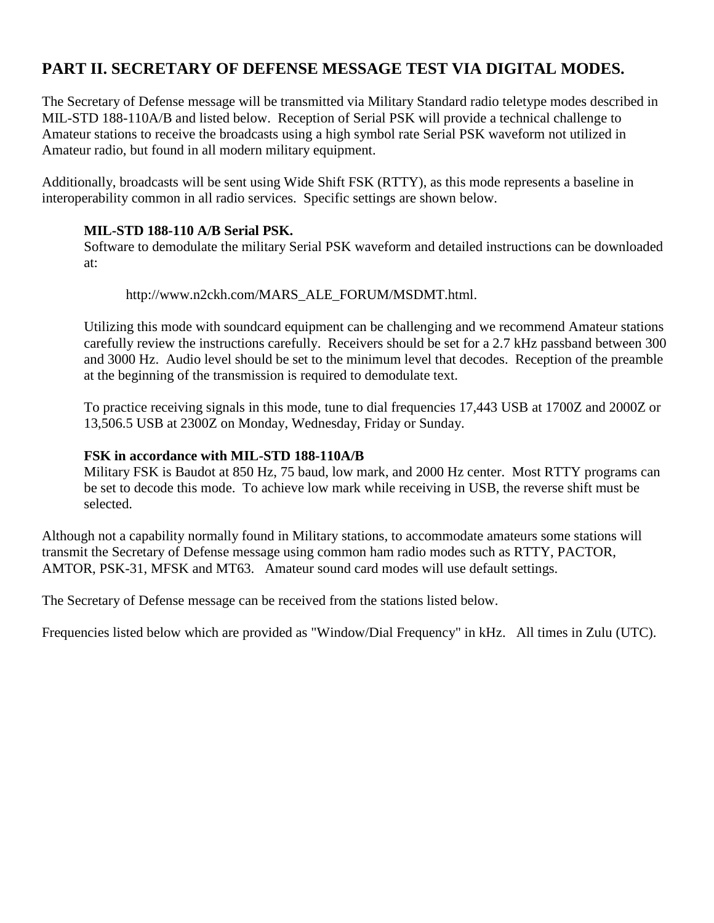# **PART II. SECRETARY OF DEFENSE MESSAGE TEST VIA DIGITAL MODES.**

The Secretary of Defense message will be transmitted via Military Standard radio teletype modes described in MIL-STD 188-110A/B and listed below. Reception of Serial PSK will provide a technical challenge to Amateur stations to receive the broadcasts using a high symbol rate Serial PSK waveform not utilized in Amateur radio, but found in all modern military equipment.

Additionally, broadcasts will be sent using Wide Shift FSK (RTTY), as this mode represents a baseline in interoperability common in all radio services. Specific settings are shown below.

# **MIL-STD 188-110 A/B Serial PSK.**

Software to demodulate the military Serial PSK waveform and detailed instructions can be downloaded at:

# http://www.n2ckh.com/MARS\_ALE\_FORUM/MSDMT.html.

Utilizing this mode with soundcard equipment can be challenging and we recommend Amateur stations carefully review the instructions carefully. Receivers should be set for a 2.7 kHz passband between 300 and 3000 Hz. Audio level should be set to the minimum level that decodes. Reception of the preamble at the beginning of the transmission is required to demodulate text.

To practice receiving signals in this mode, tune to dial frequencies 17,443 USB at 1700Z and 2000Z or 13,506.5 USB at 2300Z on Monday, Wednesday, Friday or Sunday.

# **FSK in accordance with MIL-STD 188-110A/B**

Military FSK is Baudot at 850 Hz, 75 baud, low mark, and 2000 Hz center. Most RTTY programs can be set to decode this mode. To achieve low mark while receiving in USB, the reverse shift must be selected.

Although not a capability normally found in Military stations, to accommodate amateurs some stations will transmit the Secretary of Defense message using common ham radio modes such as RTTY, PACTOR, AMTOR, PSK-31, MFSK and MT63. Amateur sound card modes will use default settings.

The Secretary of Defense message can be received from the stations listed below.

Frequencies listed below which are provided as "Window/Dial Frequency" in kHz. All times in Zulu (UTC).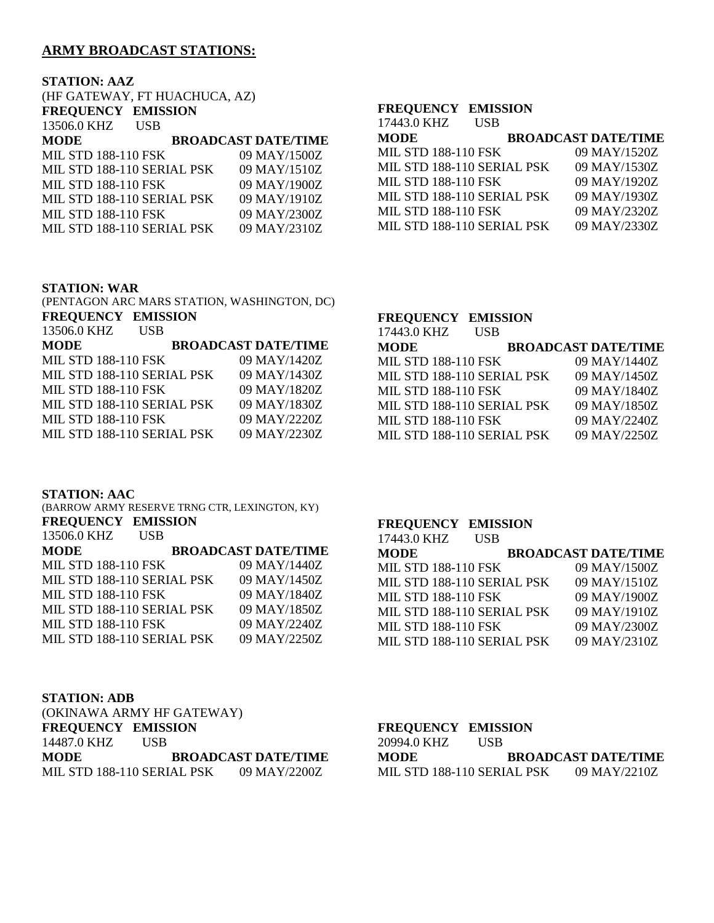### **ARMY BROADCAST STATIONS:**

# **STATION: AAZ**

|                            | (HF GATEWAY, FT HUACHUCA, AZ) |                            |
|----------------------------|-------------------------------|----------------------------|
| FREQUENCY EMISSION         |                               |                            |
| 13506.0 KHZ USB            |                               |                            |
| <b>MODE</b>                |                               | <b>BROADCAST DATE/TIME</b> |
| <b>MIL STD 188-110 FSK</b> |                               | 09 MAY/1500Z               |
| MIL STD 188-110 SERIAL PSK |                               | 09 MAY/1510Z               |
| <b>MIL STD 188-110 FSK</b> |                               | 09 MAY/1900Z               |
| MIL STD 188-110 SERIAL PSK |                               | 09 MAY/1910Z               |
| <b>MIL STD 188-110 FSK</b> |                               | 09 MAY/2300Z               |
| MIL STD 188-110 SERIAL PSK |                               | 09 MAY/2310Z               |

### **FREQUENCY EMISSION**

**FREQUENCY EMISSION**  17443.0 KHZ USB

| 17443.0 KHZ                | USB |                            |
|----------------------------|-----|----------------------------|
| <b>MODE</b>                |     | <b>BROADCAST DATE/TIME</b> |
| <b>MIL STD 188-110 FSK</b> |     | 09 MAY/1520Z               |
| MIL STD 188-110 SERIAL PSK |     | 09 MAY/1530Z               |
| <b>MIL STD 188-110 FSK</b> |     | 09 MAY/1920Z               |
| MIL STD 188-110 SERIAL PSK |     | 09 MAY/1930Z               |
| <b>MIL STD 188-110 FSK</b> |     | 09 MAY/2320Z               |
| MIL STD 188-110 SERIAL PSK |     | 09 MAY/2330Z               |
|                            |     |                            |

**MODE BROADCAST DATE/TIME** MIL STD 188-110 FSK 09 MAY/1440Z MIL STD 188-110 SERIAL PSK 09 MAY/1450Z MIL STD 188-110 FSK 09 MAY/1840Z MIL STD 188-110 SERIAL PSK 09 MAY/1850Z MIL STD 188-110 FSK 09 MAY/2240Z MIL STD 188-110 SERIAL PSK 09 MAY/2250Z

#### **STATION: WAR**

| (PENTAGON ARC MARS STATION, WASHINGTON, DC) |            |                            |
|---------------------------------------------|------------|----------------------------|
| FREQUENCY EMISSION                          |            |                            |
| 13506.0 KHZ                                 | <b>USB</b> |                            |
| <b>MODE</b>                                 |            | <b>BROADCAST DATE/TIME</b> |
| <b>MIL STD 188-110 FSK</b>                  |            | 09 MAY/1420Z               |
| MIL STD 188-110 SERIAL PSK                  |            | 09 MAY/1430Z               |
| <b>MIL STD 188-110 FSK</b>                  |            | 09 MAY/1820Z               |
| MIL STD 188-110 SERIAL PSK                  |            | 09 MAY/1830Z               |
| <b>MIL STD 188-110 FSK</b>                  |            | 09 MAY/2220Z               |
| MIL STD 188-110 SERIAL PSK                  |            | 09 MAY/2230Z               |

#### **STATION: AAC**

|                            |            | (BARROW ARMY RESERVE TRNG CTR, LEXINGTON, KY) |
|----------------------------|------------|-----------------------------------------------|
| FREQUENCY EMISSION         |            |                                               |
| 13506.0 KHZ                | <b>USB</b> |                                               |
| <b>MODE</b>                |            | <b>BROADCAST DATE/TIME</b>                    |
| <b>MIL STD 188-110 FSK</b> |            | 09 MAY/1440Z                                  |
| MIL STD 188-110 SERIAL PSK |            | 09 MAY/1450Z                                  |
| <b>MIL STD 188-110 FSK</b> |            | 09 MAY/1840Z                                  |
| MIL STD 188-110 SERIAL PSK |            | 09 MAY/1850Z                                  |
| <b>MIL STD 188-110 FSK</b> |            | 09 MAY/2240Z                                  |
| MIL STD 188-110 SERIAL PSK |            | 09 MAY/2250Z                                  |

#### **FREQUENCY EMISSION**

| 17443.0 KHZ                | USB |                            |
|----------------------------|-----|----------------------------|
| <b>MODE</b>                |     | <b>BROADCAST DATE/TIME</b> |
| <b>MIL STD 188-110 FSK</b> |     | 09 MAY/1500Z               |
| MIL STD 188-110 SERIAL PSK |     | 09 MAY/1510Z               |
| <b>MIL STD 188-110 FSK</b> |     | 09 MAY/1900Z               |
| MIL STD 188-110 SERIAL PSK |     | 09 MAY/1910Z               |
| <b>MIL STD 188-110 FSK</b> |     | 09 MAY/2300Z               |
| MIL STD 188-110 SERIAL PSK |     | 09 MAY/2310Z               |

### **STATION: ADB**

(OKINAWA ARMY HF GATEWAY) **FREQUENCY EMISSION**  14487.0 KHZ USB **MODE BROADCAST DATE/TIME** MIL STD 188-110 SERIAL PSK 09 MAY/2200Z

# **FREQUENCY EMISSION**

| 20994.0 KHZ                | USB |                            |
|----------------------------|-----|----------------------------|
| <b>MODE</b>                |     | <b>BROADCAST DATE/TIME</b> |
| MIL STD 188-110 SERIAL PSK |     | $09$ MAY/2210Z             |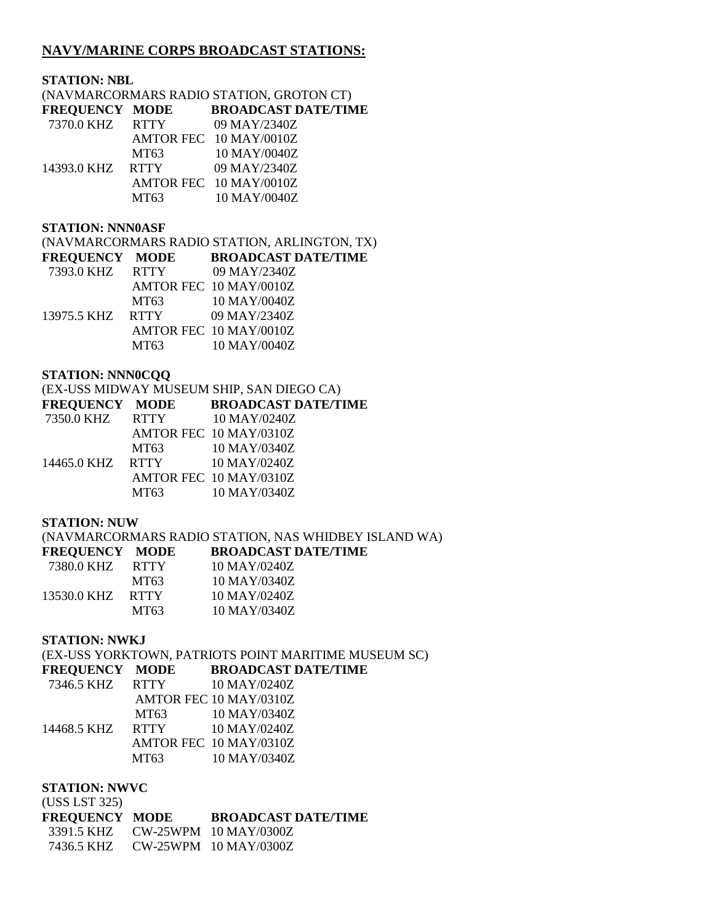# **NAVY/MARINE CORPS BROADCAST STATIONS:**

#### **STATION: NBL**

# (NAVMARCORMARS RADIO STATION, GROTON CT)

#### **FREQUENCY MODE BROADCAST DATE/TIME** 7370.0 KHZ RTTY 09 MAY/2340Z AMTOR FEC 10 MAY/0010Z

|             |        | AMIUR FEU IU MA I/UUIUZ    |
|-------------|--------|----------------------------|
|             | MT63   | 10 MAY/0040Z               |
| 14393.0 KHZ | – RTTY | 09 MAY/2340Z               |
|             |        | $AMTOR$ FEC $10$ MAY/0010Z |
|             | MT63   | 10 MAY/0040Z               |
|             |        |                            |

#### **STATION: NNN0ASF**

#### (NAVMARCORMARS RADIO STATION, ARLINGTON, TX)

| <b>FREQUENCY MODE</b> |      | <b>BROADCAST DATE/TIME</b> |
|-----------------------|------|----------------------------|
| 7393.0 KHZ RTTY       |      | 09 MAY/2340Z               |
|                       |      | AMTOR FEC 10 MAY/0010Z     |
|                       | MT63 | 10 MAY/0040Z               |
| 13975.5 KHZ RTTY      |      | 09 MAY/2340Z               |
|                       |      | AMTOR FEC 10 MAY/0010Z     |
|                       | MT63 | 10 MAY/0040Z               |
|                       |      |                            |

#### **STATION: NNN0CQQ**

#### (EX-USS MIDWAY MUSEUM SHIP, SAN DIEGO CA)

# **FREQUENCY MODE BROADCAST DATE/TIME** 7350.0 KHZ RTTY 10 MAY/0240Z AMTOR FEC 10 MAY/0310Z MT63 10 MAY/0340Z 14465.0 KHZ RTTY 10 MAY/0240Z

|      | AMTOR FEC 10 MAY/0310Z |
|------|------------------------|
| MT63 | 10 MAY/0340Z           |
|      |                        |

#### **STATION: NUW**

#### (NAVMARCORMARS RADIO STATION, NAS WHIDBEY ISLAND WA)

### **FREQUENCY MODE BROADCAST DATE/TIME** 7380.0 KHZ RTTY 10 MAY/0240Z MT63 10 MAY/0340Z 13530.0 KHZ RTTY 10 MAY/0240Z MT63 10 MAY/0340Z

#### **STATION: NWKJ**

# (EX-USS YORKTOWN, PATRIOTS POINT MARITIME MUSEUM SC)

#### **FREQUENCY MODE BROADCAST DATE/TIME**

| 7346.5 KHZ  | <b>RTTY</b> | 10 MAY/0240Z           |
|-------------|-------------|------------------------|
|             |             | AMTOR FEC 10 MAY/0310Z |
|             | MT63        | 10 MAY/0340Z           |
| 14468.5 KHZ | <b>RTTY</b> | 10 MAY/0240Z           |
|             |             | AMTOR FEC 10 MAY/0310Z |
|             | MT63        | 10 MAY/0340Z           |

#### **STATION: NWVC**  $(T \cap C, T \cap T)$

| (USS LST 325)         |                                  |
|-----------------------|----------------------------------|
| <b>FREQUENCY MODE</b> | <b>BROADCAST DATE/TIME</b>       |
|                       | 3391.5 KHZ CW-25WPM 10 MAY/0300Z |
|                       | 7436.5 KHZ CW-25WPM 10 MAY/0300Z |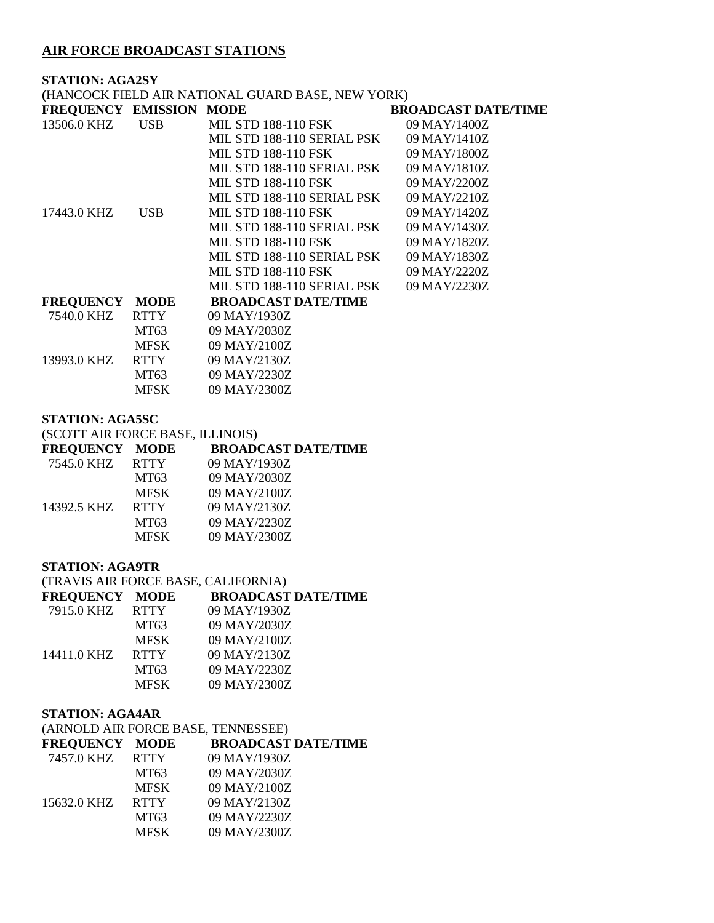# **AIR FORCE BROADCAST STATIONS**

### **STATION: AGA2SY**

**(**HANCOCK FIELD AIR NATIONAL GUARD BASE, NEW YORK)

| FREQUENCY EMISSION MODE |             |                            | <b>BROADCAST DATE/TIME</b> |
|-------------------------|-------------|----------------------------|----------------------------|
| 13506.0 KHZ             | <b>USB</b>  | <b>MIL STD 188-110 FSK</b> | 09 MAY/1400Z               |
|                         |             | MIL STD 188-110 SERIAL PSK | $09$ MAY/1410Z             |
|                         |             | <b>MIL STD 188-110 FSK</b> | 09 MAY/1800Z               |
|                         |             | MIL STD 188-110 SERIAL PSK | 09 MAY/1810Z               |
|                         |             | MIL STD 188-110 FSK        | 09 MAY/2200Z               |
|                         |             | MIL STD 188-110 SERIAL PSK | $09$ MAY/2210Z             |
| 17443.0 KHZ             | <b>USB</b>  | <b>MIL STD 188-110 FSK</b> | $09$ MAY/1420Z             |
|                         |             | MIL STD 188-110 SERIAL PSK | $09$ MAY/1430Z             |
|                         |             | <b>MIL STD 188-110 FSK</b> | 09 MAY/1820Z               |
|                         |             | MIL STD 188-110 SERIAL PSK | 09 MAY/1830Z               |
|                         |             | <b>MIL STD 188-110 FSK</b> | 09 MAY/2220Z               |
|                         |             | MIL STD 188-110 SERIAL PSK | 09 MAY/2230Z               |
| <b>FREQUENCY MODE</b>   |             | <b>BROADCAST DATE/TIME</b> |                            |
| 7540.0 KHZ              | <b>RTTY</b> | 09 MAY/1930Z               |                            |
|                         | $\sqrt{2}$  | 0.0111177000007            |                            |

|             | MT63        | 09 MAY/2030Z   |
|-------------|-------------|----------------|
|             | <b>MFSK</b> | $09$ MAY/2100Z |
| 13993.0 KHZ | <b>RTTY</b> | $09$ MAY/2130Z |
|             | MT63        | 09 MAY/2230Z   |
|             | <b>MFSK</b> | $(9$ MAY/2300Z |

#### **STATION: AGA5SC**

(SCOTT AIR FORCE BASE, ILLINOIS)

| <b>FREQUENCY MODE</b> | <b>BROADCAST DATE/TIME</b> |
|-----------------------|----------------------------|
| <b>RTTY</b>           | 09 MAY/1930Z               |
| MT63                  | 09 MAY/2030Z               |
| <b>MFSK</b>           | $09$ MAY/2100Z             |
| <b>RTTY</b>           | 09 MAY/2130Z               |
| MT63                  | 09 MAY/2230Z               |
| <b>MFSK</b>           | 09 MAY/2300Z               |
|                       |                            |

#### **STATION: AGA9TR**

|                 | (TRAVIS AIR FORCE BASE, CALIFORNIA) |
|-----------------|-------------------------------------|
| FREQUENCY MODE  | <b>BROADCAST DATE/TIME</b>          |
| 7915.0 KHZ RTTY | 09 MAY/1930Z                        |
| MT63            | 09 MAY/2030Z                        |
| <b>MFSK</b>     | 09 MAY/2100Z                        |
| <b>RTTY</b>     | 09 MAY/2130Z                        |
| MT63            | 09 MAY/2230Z                        |
| <b>MFSK</b>     | 09 MAY/2300Z                        |
|                 |                                     |

# **STATION: AGA4AR**

|                 |             | (ARNOLD AIR FORCE BASE, TENNESSEE) |
|-----------------|-------------|------------------------------------|
| FREQUENCY MODE  |             | <b>BROADCAST DATE/TIME</b>         |
| 7457.0 KHZ RTTY |             | 09 MAY/1930Z                       |
|                 | MT63        | 09 MAY/2030Z                       |
|                 | <b>MFSK</b> | 09 MAY/2100Z                       |
| 15632.0 KHZ     | <b>RTTY</b> | 09 MAY/2130Z                       |
|                 | MT63        | 09 MAY/2230Z                       |
|                 | <b>MFSK</b> | 09 MAY/2300Z                       |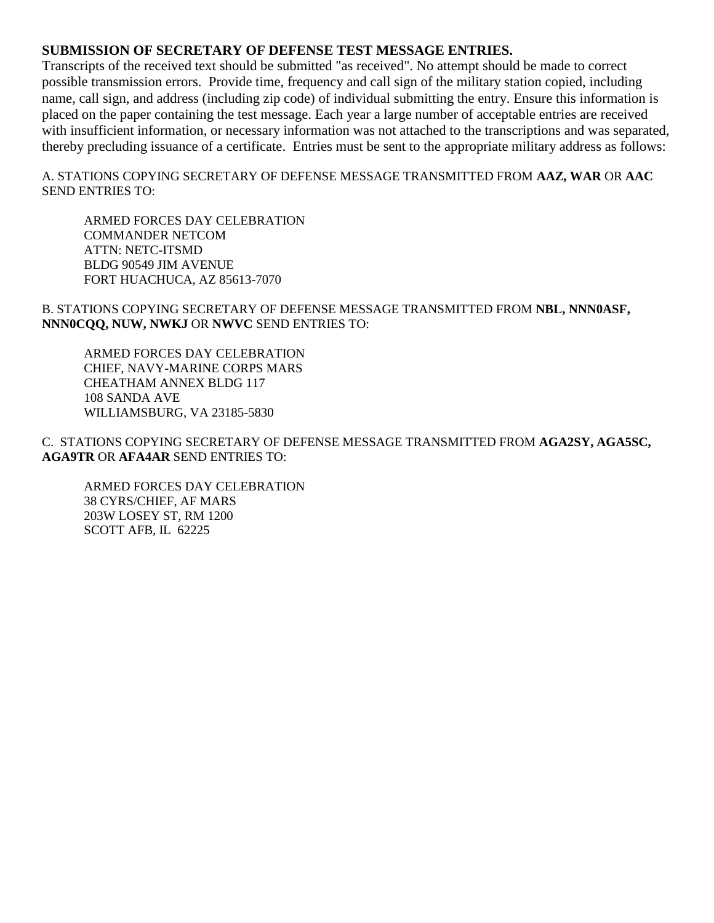# **SUBMISSION OF SECRETARY OF DEFENSE TEST MESSAGE ENTRIES.**

Transcripts of the received text should be submitted "as received". No attempt should be made to correct possible transmission errors. Provide time, frequency and call sign of the military station copied, including name, call sign, and address (including zip code) of individual submitting the entry. Ensure this information is placed on the paper containing the test message. Each year a large number of acceptable entries are received with insufficient information, or necessary information was not attached to the transcriptions and was separated, thereby precluding issuance of a certificate. Entries must be sent to the appropriate military address as follows:

A. STATIONS COPYING SECRETARY OF DEFENSE MESSAGE TRANSMITTED FROM **AAZ, WAR** OR **AAC**  SEND ENTRIES TO:

ARMED FORCES DAY CELEBRATION COMMANDER NETCOM ATTN: NETC-ITSMD BLDG 90549 JIM AVENUE FORT HUACHUCA, AZ 85613-7070

B. STATIONS COPYING SECRETARY OF DEFENSE MESSAGE TRANSMITTED FROM **NBL, NNN0ASF, NNN0CQQ, NUW, NWKJ** OR **NWVC** SEND ENTRIES TO:

ARMED FORCES DAY CELEBRATION CHIEF, NAVY-MARINE CORPS MARS CHEATHAM ANNEX BLDG 117 108 SANDA AVE WILLIAMSBURG, VA 23185-5830

C. STATIONS COPYING SECRETARY OF DEFENSE MESSAGE TRANSMITTED FROM **AGA2SY, AGA5SC, AGA9TR** OR **AFA4AR** SEND ENTRIES TO:

ARMED FORCES DAY CELEBRATION 38 CYRS/CHIEF, AF MARS 203W LOSEY ST, RM 1200 SCOTT AFB, IL 62225